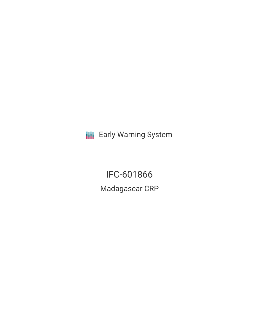**III** Early Warning System

IFC-601866 Madagascar CRP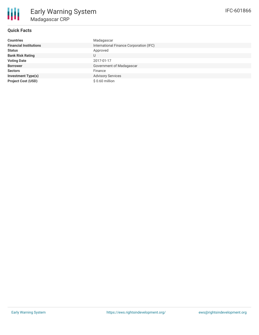

# **Quick Facts**

| <b>Countries</b>              | Madagascar                              |
|-------------------------------|-----------------------------------------|
| <b>Financial Institutions</b> | International Finance Corporation (IFC) |
| <b>Status</b>                 | Approved                                |
| <b>Bank Risk Rating</b>       | U                                       |
| <b>Voting Date</b>            | 2017-01-17                              |
| <b>Borrower</b>               | Government of Madagascar                |
| <b>Sectors</b>                | Finance                                 |
| <b>Investment Type(s)</b>     | <b>Advisory Services</b>                |
| <b>Project Cost (USD)</b>     | $$0.60$ million                         |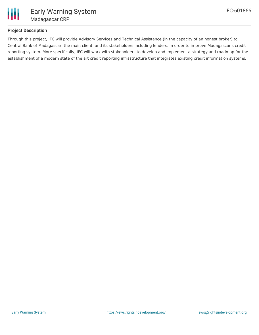

## **Project Description**

Through this project, IFC will provide Advisory Services and Technical Assistance (in the capacity of an honest broker) to Central Bank of Madagascar, the main client, and its stakeholders including lenders, in order to improve Madagascar's credit reporting system. More specifically, IFC will work with stakeholders to develop and implement a strategy and roadmap for the establishment of a modern state of the art credit reporting infrastructure that integrates existing credit information systems.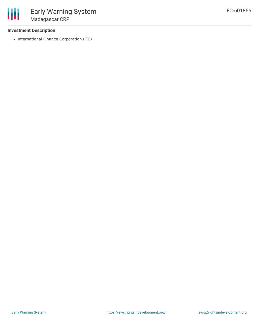#### **Investment Description**

• International Finance Corporation (IFC)